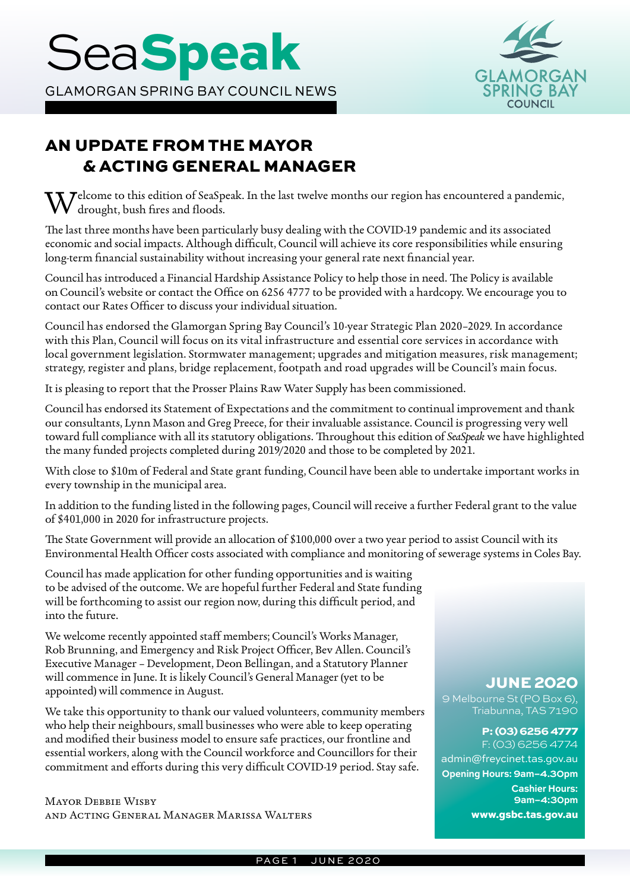

# AN UPDATE FROM THE MAYOR & ACTING GENERAL MANAGER

 $\bar{\chi}$   $\bar{Z}$  elcome to this edition of SeaSpeak. In the last twelve months our region has encountered a pandemic, drought, bush fires and floods.

The last three months have been particularly busy dealing with the COVID-19 pandemic and its associated economic and social impacts. Although difficult, Council will achieve its core responsibilities while ensuring long-term financial sustainability without increasing your general rate next financial year.

Council has introduced a Financial Hardship Assistance Policy to help those in need. The Policy is available on Council's website or contact the Office on 6256 4777 to be provided with a hardcopy. We encourage you to contact our Rates Officer to discuss your individual situation.

Council has endorsed the Glamorgan Spring Bay Council's 10-year Strategic Plan 2020–2029. In accordance with this Plan, Council will focus on its vital infrastructure and essential core services in accordance with local government legislation. Stormwater management; upgrades and mitigation measures, risk management; strategy, register and plans, bridge replacement, footpath and road upgrades will be Council's main focus.

It is pleasing to report that the Prosser Plains Raw Water Supply has been commissioned.

Council has endorsed its Statement of Expectations and the commitment to continual improvement and thank our consultants, Lynn Mason and Greg Preece, for their invaluable assistance. Council is progressing very well toward full compliance with all its statutory obligations. Throughout this edition of *SeaSpeak* we have highlighted the many funded projects completed during 2019/2020 and those to be completed by 2021.

With close to \$10m of Federal and State grant funding, Council have been able to undertake important works in every township in the municipal area.

In addition to the funding listed in the following pages, Council will receive a further Federal grant to the value of \$401,000 in 2020 for infrastructure projects.

The State Government will provide an allocation of \$100,000 over a two year period to assist Council with its Environmental Health Officer costs associated with compliance and monitoring of sewerage systems in Coles Bay.

Council has made application for other funding opportunities and is waiting to be advised of the outcome. We are hopeful further Federal and State funding will be forthcoming to assist our region now, during this difficult period, and into the future.

We welcome recently appointed staff members; Council's Works Manager, Rob Brunning, and Emergency and Risk Project Officer, Bev Allen. Council's Executive Manager – Development, Deon Bellingan, and a Statutory Planner will commence in June. It is likely Council's General Manager (yet to be appointed) will commence in August.

We take this opportunity to thank our valued volunteers, community members who help their neighbours, small businesses who were able to keep operating and modified their business model to ensure safe practices, our frontline and essential workers, along with the Council workforce and Councillors for their commitment and efforts during this very difficult COVID-19 period. Stay safe.

**MAYOR DEBBIE WISBY** and Acting General Manager Marissa Walters

### JUNE 2020

9 Melbourne St (PO Box 6), Triabunna, TAS 7190

### P: (03) 6256 4777

F: (03) 6256 4774 admin@freycinet.tas.gov.au **Opening Hours: 9am–4.30pm Cashier Hours: 9am–4:30pm** www.gsbc.tas.gov.au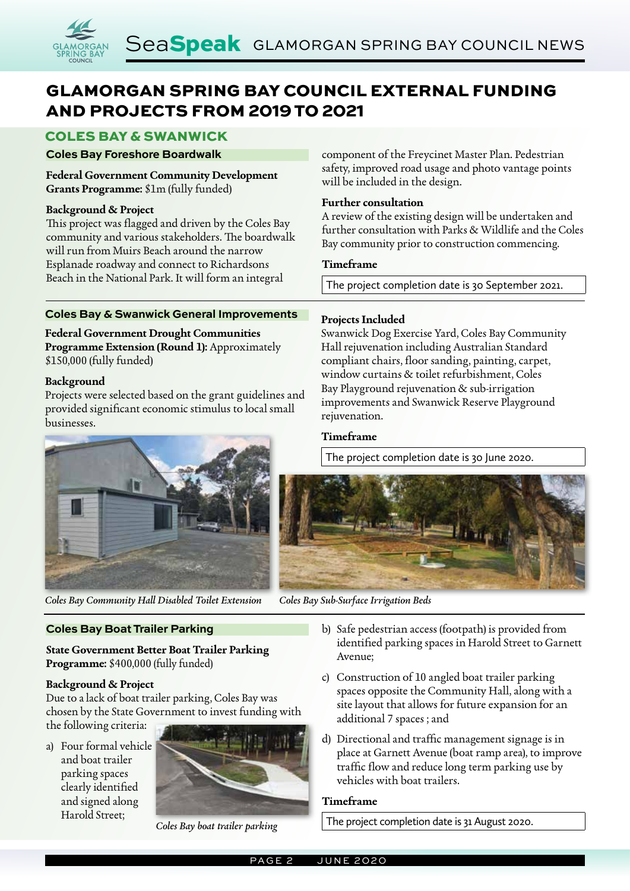# GLAMORGAN SPRING BAY COUNCIL EXTERNAL FUNDING AND PROJECTS FROM 2019 TO 2021

## COLES BAY & SWANWICK

### **Coles Bay Foreshore Boardwalk**

**Federal Government Community Development Grants Programme:** \$1m (fully funded)

### **Background & Project**

This project was flagged and driven by the Coles Bay community and various stakeholders. The boardwalk will run from Muirs Beach around the narrow Esplanade roadway and connect to Richardsons Beach in the National Park. It will form an integral

### **Coles Bay & Swanwick General Improvements**

**Federal Government Drought Communities Programme Extension (Round 1):** Approximately \$150,000 (fully funded)

### **Background**

Projects were selected based on the grant guidelines and provided significant economic stimulus to local small businesses.



*Coles Bay Community Hall Disabled Toilet Extension Coles Bay Sub-Surface Irrigation Beds*

### **Coles Bay Boat Trailer Parking**

**State Government Better Boat Trailer Parking Programme:** \$400,000 (fully funded)

### **Background & Project**

Due to a lack of boat trailer parking, Coles Bay was chosen by the State Government to invest funding with

the following criteria:

a) Four formal vehicle and boat trailer parking spaces clearly identified and signed along Harold Street;



*Coles Bay boat trailer parking*

component of the Freycinet Master Plan. Pedestrian safety, improved road usage and photo vantage points will be included in the design.

### **Further consultation**

A review of the existing design will be undertaken and further consultation with Parks & Wildlife and the Coles Bay community prior to construction commencing.

### **Timeframe**

The project completion date is 30 September 2021.

### **Projects Included**

Swanwick Dog Exercise Yard, Coles Bay Community Hall rejuvenation including Australian Standard compliant chairs, floor sanding, painting, carpet, window curtains & toilet refurbishment, Coles Bay Playground rejuvenation & sub-irrigation improvements and Swanwick Reserve Playground rejuvenation.

### **Timeframe**

The project completion date is 30 June 2020.



- b) Safe pedestrian access (footpath) is provided from identified parking spaces in Harold Street to Garnett Avenue;
- c) Construction of 10 angled boat trailer parking spaces opposite the Community Hall, along with a site layout that allows for future expansion for an additional 7 spaces ; and
- d) Directional and traffic management signage is in place at Garnett Avenue (boat ramp area), to improve traffic flow and reduce long term parking use by vehicles with boat trailers.

### **Timeframe**

The project completion date is 31 August 2020.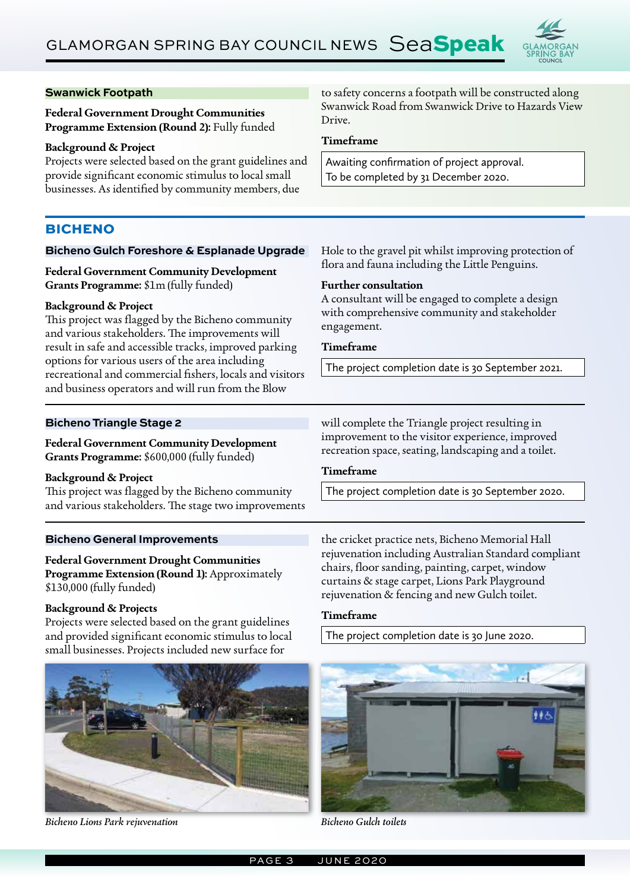

### **Swanwick Footpath**

**Federal Government Drought Communities Programme Extension (Round 2):** Fully funded

### **Background & Project**

Projects were selected based on the grant guidelines and provide significant economic stimulus to local small businesses. As identified by community members, due

### **BICHENO**

### **Bicheno Gulch Foreshore & Esplanade Upgrade**

**Federal Government Community Development Grants Programme:** \$1m (fully funded)

### **Background & Project**

This project was flagged by the Bicheno community and various stakeholders. The improvements will result in safe and accessible tracks, improved parking options for various users of the area including recreational and commercial fishers, locals and visitors and business operators and will run from the Blow

### **Bicheno Triangle Stage 2**

**Federal Government Community Development Grants Programme:** \$600,000 (fully funded)

### **Background & Project**

This project was flagged by the Bicheno community and various stakeholders. The stage two improvements

### **Bicheno General Improvements**

**Federal Government Drought Communities Programme Extension (Round 1):** Approximately \$130,000 (fully funded)

### **Background & Projects**

Projects were selected based on the grant guidelines and provided significant economic stimulus to local small businesses. Projects included new surface for



*Bicheno Lions Park rejuvenation Bicheno Gulch toilets*

to safety concerns a footpath will be constructed along Swanwick Road from Swanwick Drive to Hazards View Drive.

### **Timeframe**

Awaiting confirmation of project approval. To be completed by 31 December 2020.

Hole to the gravel pit whilst improving protection of flora and fauna including the Little Penguins.

### **Further consultation**

A consultant will be engaged to complete a design with comprehensive community and stakeholder engagement.

### **Timeframe**

The project completion date is 30 September 2021.

will complete the Triangle project resulting in improvement to the visitor experience, improved recreation space, seating, landscaping and a toilet.

### **Timeframe**

The project completion date is 30 September 2020.

the cricket practice nets, Bicheno Memorial Hall rejuvenation including Australian Standard compliant chairs, floor sanding, painting, carpet, window curtains & stage carpet, Lions Park Playground rejuvenation & fencing and new Gulch toilet.

### **Timeframe**

The project completion date is 30 June 2020.

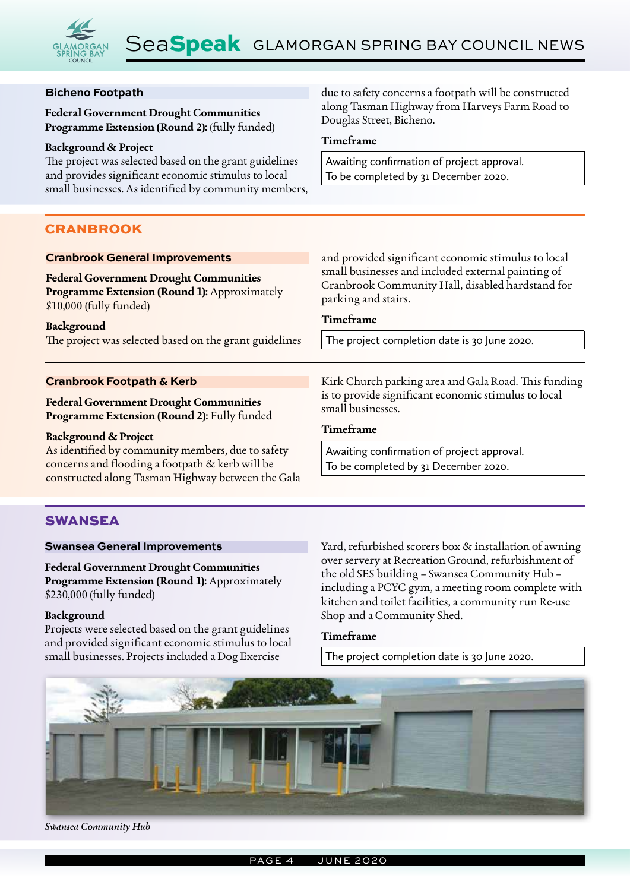

Douglas Street, Bicheno.

### **Bicheno Footpath**

**Federal Government Drought Communities Programme Extension (Round 2):** (fully funded)

#### **Background & Project**

The project was selected based on the grant guidelines and provides significant economic stimulus to local small businesses. As identified by community members,

### CRANBROOK

**Timeframe** Awaiting confirmation of project approval. To be completed by 31 December 2020.

due to safety concerns a footpath will be constructed along Tasman Highway from Harveys Farm Road to

#### **Cranbrook General Improvements Federal Government Drought Communities Programme Extension (Round 1):** Approximately \$10,000 (fully funded) **Background** The project was selected based on the grant guidelines and provided significant economic stimulus to local small businesses and included external painting of Cranbrook Community Hall, disabled hardstand for parking and stairs. **Timeframe** The project completion date is 30 June 2020. **Cranbrook Footpath & Kerb Federal Government Drought Communities Programme Extension (Round 2):** Fully funded **Background & Project** As identified by community members, due to safety concerns and flooding a footpath & kerb will be Kirk Church parking area and Gala Road. This funding is to provide significant economic stimulus to local small businesses. **Timeframe** Awaiting confirmation of project approval. To be completed by 31 December 2020.

# SWANSEA

### **Swansea General Improvements**

**Federal Government Drought Communities Programme Extension (Round 1):** Approximately \$230,000 (fully funded)

constructed along Tasman Highway between the Gala

### **Background**

Projects were selected based on the grant guidelines and provided significant economic stimulus to local small businesses. Projects included a Dog Exercise

Yard, refurbished scorers box & installation of awning over servery at Recreation Ground, refurbishment of the old SES building – Swansea Community Hub – including a PCYC gym, a meeting room complete with kitchen and toilet facilities, a community run Re-use Shop and a Community Shed.

### **Timeframe**

The project completion date is 30 June 2020.



*Swansea Community Hub*

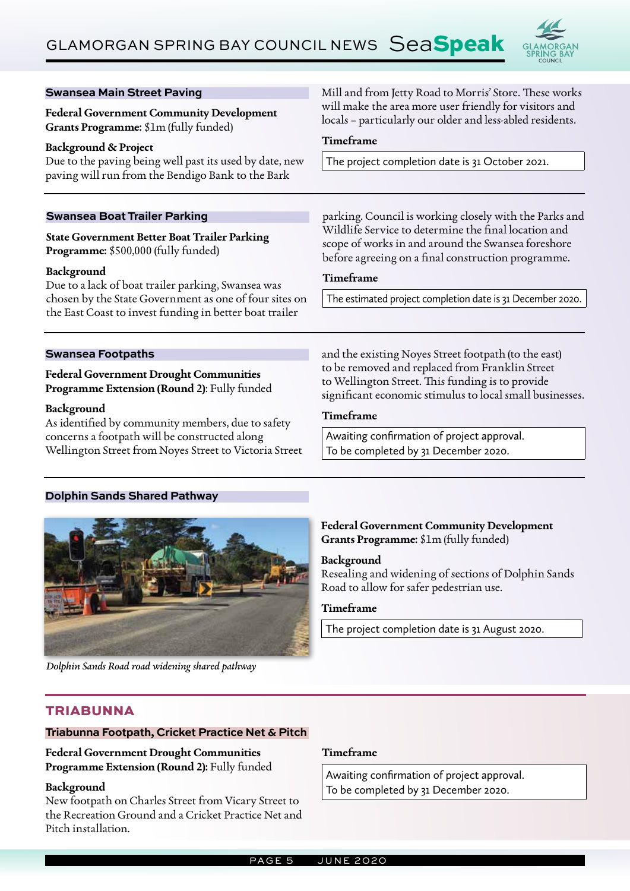

Mill and from Jetty Road to Morris' Store. These works will make the area more user friendly for visitors and

| Grants Programme: \$1m (fully funded)                                                                                                                                                                                                                                               | locals - particularly our older and less-abled residents.                                                                                                        |
|-------------------------------------------------------------------------------------------------------------------------------------------------------------------------------------------------------------------------------------------------------------------------------------|------------------------------------------------------------------------------------------------------------------------------------------------------------------|
| <b>Background &amp; Project</b><br>Due to the paving being well past its used by date, new<br>paving will run from the Bendigo Bank to the Bark                                                                                                                                     | Timeframe                                                                                                                                                        |
|                                                                                                                                                                                                                                                                                     | The project completion date is 31 October 2021.                                                                                                                  |
| <b>Swansea Boat Trailer Parking</b>                                                                                                                                                                                                                                                 | parking. Council is working closely with the Parks and                                                                                                           |
| <b>State Government Better Boat Trailer Parking</b><br>Programme: \$500,000 (fully funded)<br>Background<br>Due to a lack of boat trailer parking, Swansea was<br>chosen by the State Government as one of four sites on<br>the East Coast to invest funding in better boat trailer | Wildlife Service to determine the final location and<br>scope of works in and around the Swansea foreshore<br>before agreeing on a final construction programme. |
|                                                                                                                                                                                                                                                                                     | Timeframe                                                                                                                                                        |
|                                                                                                                                                                                                                                                                                     | The estimated project completion date is 31 December 2020.                                                                                                       |
|                                                                                                                                                                                                                                                                                     |                                                                                                                                                                  |
|                                                                                                                                                                                                                                                                                     |                                                                                                                                                                  |
|                                                                                                                                                                                                                                                                                     |                                                                                                                                                                  |
| <b>Swansea Footpaths</b><br><b>Federal Government Drought Communities</b><br>Programme Extension (Round 2): Fully funded                                                                                                                                                            | and the existing Noyes Street footpath (to the east)<br>to be removed and replaced from Franklin Street<br>to Wellington Street. This funding is to provide      |
| Background                                                                                                                                                                                                                                                                          | significant economic stimulus to local small businesses.<br>Timeframe                                                                                            |
| As identified by community members, due to safety<br>concerns a footpath will be constructed along                                                                                                                                                                                  | Awaiting confirmation of project approval.                                                                                                                       |

## **Background** Resealing and widening of sections of Dolphin Sands Road to allow for safer pedestrian use. **Timeframe**

The project completion date is 31 August 2020.

*Dolphin Sands Road road widening shared pathway*

**Swansea Main Street Paving** 

**Federal Government Community Development** 

### **TRIABUNNA**

### **Triabunna Footpath, Cricket Practice Net & Pitch**

### **Federal Government Drought Communities Programme Extension (Round 2):** Fully funded

### **Background**

New footpath on Charles Street from Vicary Street to the Recreation Ground and a Cricket Practice Net and Pitch installation.

### **Timeframe**

Awaiting confirmation of project approval. To be completed by 31 December 2020.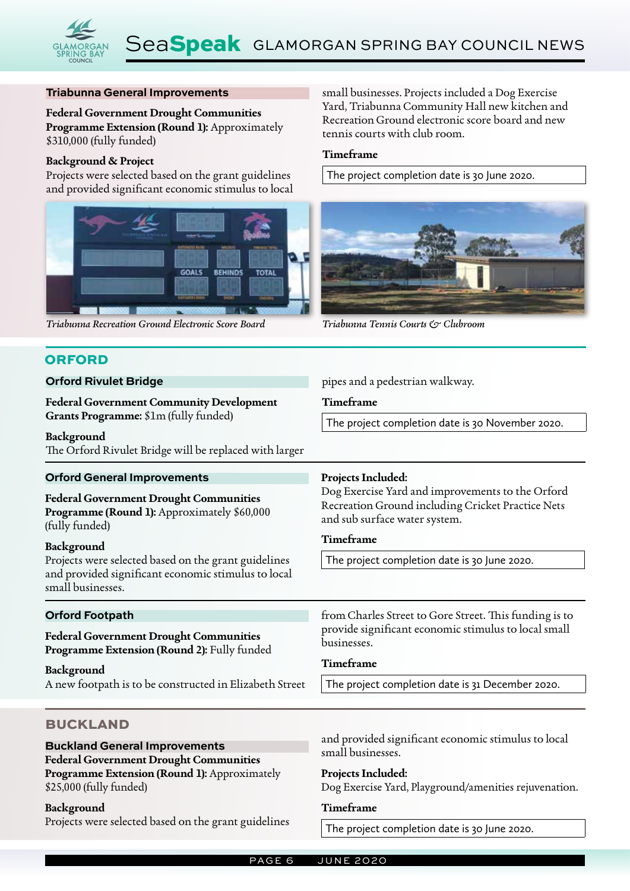### **Triabunna General Improvements**

**Federal Government Drought Communities Programme Extension (Round 1):** Approximately \$310,000 (fully funded)

#### **Background & Project**

Projects were selected based on the grant guidelines and provided significant economic stimulus to local



*Triabunna Recreation Ground Electronic Score Board Triabunna Tennis Courts & Clubroom*

### **ORFORD**

#### **Orford Rivulet Bridge**

**Federal Government Community Development Grants Programme:** \$1m (fully funded)

**Background**

The Orford Rivulet Bridge will be replaced with larger

small businesses. Projects included a Dog Exercise Yard, Triabunna Community Hall new kitchen and Recreation Ground electronic score board and new tennis courts with club room.

### **Timeframe**

The project completion date is 30 June 2020.



pipes and a pedestrian walkway.

#### **Timeframe**

The project completion date is 30 November 2020.

| <b>Orford General Improvements</b>                                                                                                                                                              | Projects Included:                                                                                                                                                                             |  |
|-------------------------------------------------------------------------------------------------------------------------------------------------------------------------------------------------|------------------------------------------------------------------------------------------------------------------------------------------------------------------------------------------------|--|
| <b>Federal Government Drought Communities</b><br>Programme (Round 1): Approximately \$60,000<br>(fully funded)                                                                                  | Dog Exercise Yard and improvements to the Orford<br>Recreation Ground including Cricket Practice Nets<br>and sub surface water system.                                                         |  |
| Background                                                                                                                                                                                      | Timeframe                                                                                                                                                                                      |  |
| Projects were selected based on the grant guidelines<br>and provided significant economic stimulus to local<br>small businesses.                                                                | The project completion date is 30 June 2020.                                                                                                                                                   |  |
| <b>Orford Footpath</b><br><b>Federal Government Drought Communities</b><br>Programme Extension (Round 2): Fully funded<br>Background<br>A new footpath is to be constructed in Elizabeth Street | from Charles Street to Gore Street. This funding is to<br>provide significant economic stimulus to local small<br>businesses.<br>Timeframe<br>The project completion date is 31 December 2020. |  |
|                                                                                                                                                                                                 |                                                                                                                                                                                                |  |
| <b>BUCKLAND</b><br><b>Buckland General Improvements</b><br><b>Federal Government Drought Communities</b><br>Programme Extension (Round 1): Approximately                                        | and provided significant economic stimulus to local<br>small businesses.<br>Projects Included:                                                                                                 |  |

\$25,000 (fully funded)

#### **Background**

Projects were selected based on the grant guidelines

The project completion date is 30 June 2020.

Dog Exercise Yard, Playground/amenities rejuvenation.

**Timeframe**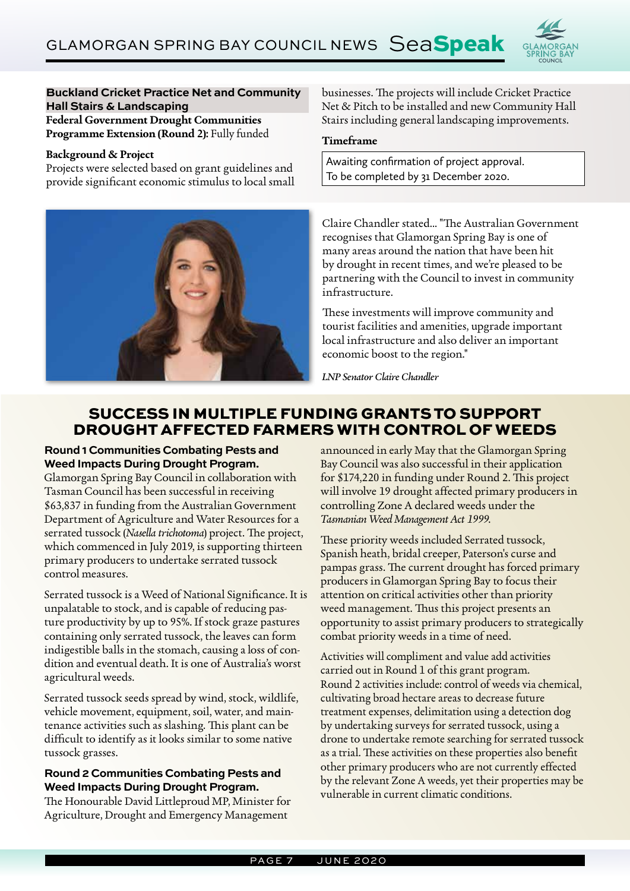

### **Buckland Cricket Practice Net and Community Hall Stairs & Landscaping Federal Government Drought Communities**

**Programme Extension (Round 2):** Fully funded

### **Background & Project**

Projects were selected based on grant guidelines and provide significant economic stimulus to local small



businesses. The projects will include Cricket Practice Net & Pitch to be installed and new Community Hall Stairs including general landscaping improvements.

### **Timeframe**

Awaiting confirmation of project approval. To be completed by 31 December 2020.

Claire Chandler stated... "The Australian Government recognises that Glamorgan Spring Bay is one of many areas around the nation that have been hit by drought in recent times, and we're pleased to be partnering with the Council to invest in community infrastructure.

These investments will improve community and tourist facilities and amenities, upgrade important local infrastructure and also deliver an important economic boost to the region."

*LNP Senator Claire Chandler*

## SUCCESS IN MULTIPLE FUNDING GRANTS TO SUPPORT DROUGHT AFFECTED FARMERS WITH CONTROL OF WEEDS

**Round 1 Communities Combating Pests and Weed Impacts During Drought Program.** 

Glamorgan Spring Bay Council in collaboration with Tasman Council has been successful in receiving \$63,837 in funding from the Australian Government Department of Agriculture and Water Resources for a serrated tussock (*Nasella trichotoma*) project. The project, which commenced in July 2019, is supporting thirteen primary producers to undertake serrated tussock control measures.

Serrated tussock is a Weed of National Significance. It is unpalatable to stock, and is capable of reducing pasture productivity by up to 95%. If stock graze pastures containing only serrated tussock, the leaves can form indigestible balls in the stomach, causing a loss of condition and eventual death. It is one of Australia's worst agricultural weeds.

Serrated tussock seeds spread by wind, stock, wildlife, vehicle movement, equipment, soil, water, and maintenance activities such as slashing. This plant can be difficult to identify as it looks similar to some native tussock grasses.

### **Round 2 Communities Combating Pests and Weed Impacts During Drought Program.**

The Honourable David Littleproud MP, Minister for Agriculture, Drought and Emergency Management

announced in early May that the Glamorgan Spring Bay Council was also successful in their application for \$174,220 in funding under Round 2. This project will involve 19 drought affected primary producers in controlling Zone A declared weeds under the *Tasmanian Weed Management Act 1999*.

These priority weeds included Serrated tussock, Spanish heath, bridal creeper, Paterson's curse and pampas grass. The current drought has forced primary producers in Glamorgan Spring Bay to focus their attention on critical activities other than priority weed management. Thus this project presents an opportunity to assist primary producers to strategically combat priority weeds in a time of need.

Activities will compliment and value add activities carried out in Round 1 of this grant program. Round 2 activities include: control of weeds via chemical, cultivating broad hectare areas to decrease future treatment expenses, delimitation using a detection dog by undertaking surveys for serrated tussock, using a drone to undertake remote searching for serrated tussock as a trial. These activities on these properties also benefit other primary producers who are not currently effected by the relevant Zone A weeds, yet their properties may be vulnerable in current climatic conditions.